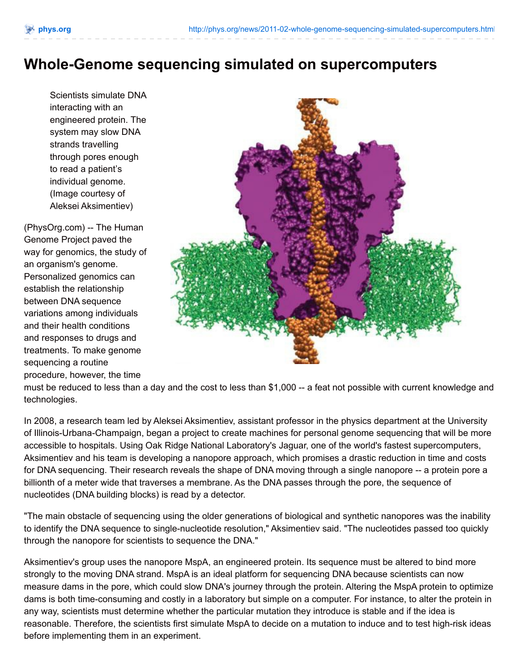## **Whole-Genome sequencing simulated on supercomputers**

Scientists simulate DNA interacting with an engineered protein. The system may slow DNA strands travelling through pores enough to read a patient's individual genome. (Image courtesy of Aleksei Aksimentiev)

(PhysOrg.com) -- The Human Genome Project paved the way for genomics, the study of an organism's genome. Personalized genomics can establish the relationship between DNA sequence variations among individuals and their health conditions and responses to drugs and treatments. To make genome sequencing a routine procedure, however, the time



must be reduced to less than a day and the cost to less than \$1,000 -- a feat not possible with current knowledge and technologies.

In 2008, a research team led by Aleksei Aksimentiev, assistant professor in the physics department at the University of Illinois-Urbana-Champaign, began a project to create machines for personal genome sequencing that will be more accessible to hospitals. Using Oak Ridge National Laboratory's Jaguar, one of the world's fastest supercomputers, Aksimentiev and his team is developing a nanopore approach, which promises a drastic reduction in time and costs for DNA sequencing. Their research reveals the shape of DNA moving through a single nanopore -- a protein pore a billionth of a meter wide that traverses a membrane. As the DNA passes through the pore, the sequence of nucleotides (DNA building blocks) is read by a detector.

"The main obstacle of sequencing using the older generations of biological and synthetic nanopores was the inability to identify the DNA sequence to single-nucleotide resolution," Aksimentiev said. "The nucleotides passed too quickly through the nanopore for scientists to sequence the DNA."

Aksimentiev's group uses the nanopore MspA, an engineered protein. Its sequence must be altered to bind more strongly to the moving DNA strand. MspA is an ideal platform for sequencing DNA because scientists can now measure dams in the pore, which could slow DNA's journey through the protein. Altering the MspA protein to optimize dams is both time-consuming and costly in a laboratory but simple on a computer. For instance, to alter the protein in any way, scientists must determine whether the particular mutation they introduce is stable and if the idea is reasonable. Therefore, the scientists first simulate MspA to decide on a mutation to induce and to test high-risk ideas before implementing them in an experiment.